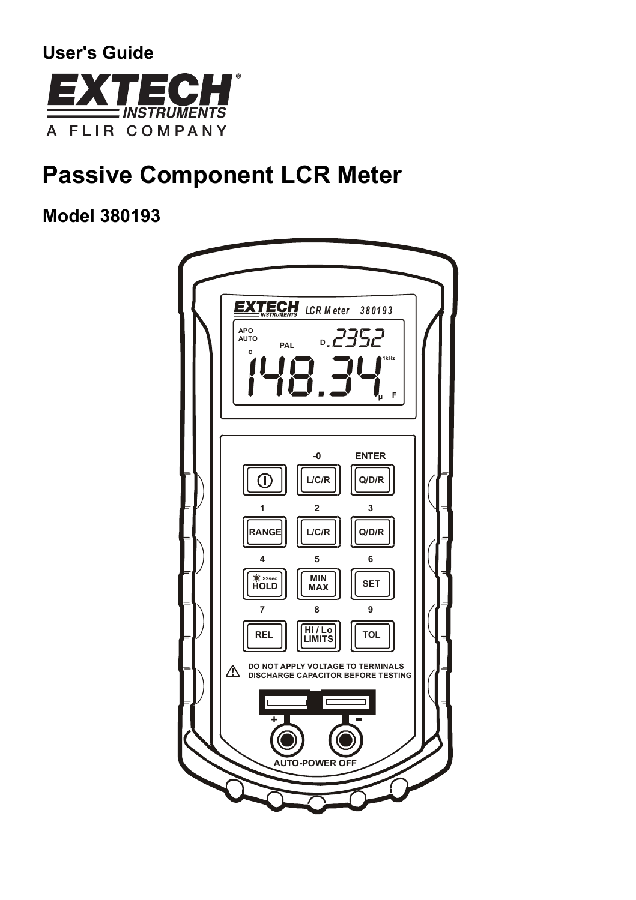

# **Passive Component LCR Meter**

**Model 380193** 

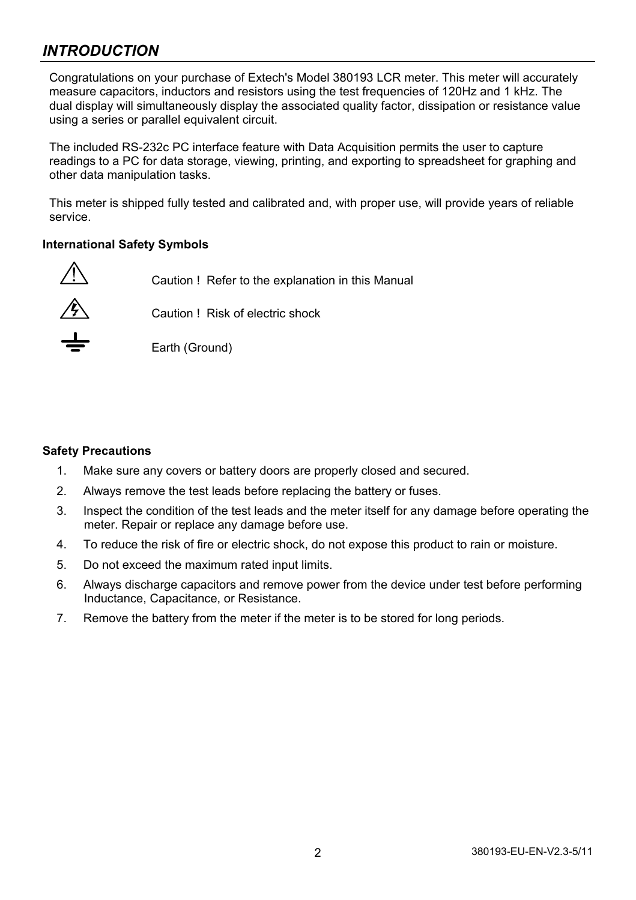# *INTRODUCTION*

Congratulations on your purchase of Extech's Model 380193 LCR meter. This meter will accurately measure capacitors, inductors and resistors using the test frequencies of 120Hz and 1 kHz. The dual display will simultaneously display the associated quality factor, dissipation or resistance value using a series or parallel equivalent circuit.

The included RS-232c PC interface feature with Data Acquisition permits the user to capture readings to a PC for data storage, viewing, printing, and exporting to spreadsheet for graphing and other data manipulation tasks.

This meter is shipped fully tested and calibrated and, with proper use, will provide years of reliable service.

### **International Safety Symbols**

Caution ! Refer to the explanation in this Manual Caution ! Risk of electric shock Earth (Ground)

#### **Safety Precautions**

- 1. Make sure any covers or battery doors are properly closed and secured.
- 2. Always remove the test leads before replacing the battery or fuses.
- 3. Inspect the condition of the test leads and the meter itself for any damage before operating the meter. Repair or replace any damage before use.
- 4. To reduce the risk of fire or electric shock, do not expose this product to rain or moisture.
- 5. Do not exceed the maximum rated input limits.
- 6. Always discharge capacitors and remove power from the device under test before performing Inductance, Capacitance, or Resistance.
- 7. Remove the battery from the meter if the meter is to be stored for long periods.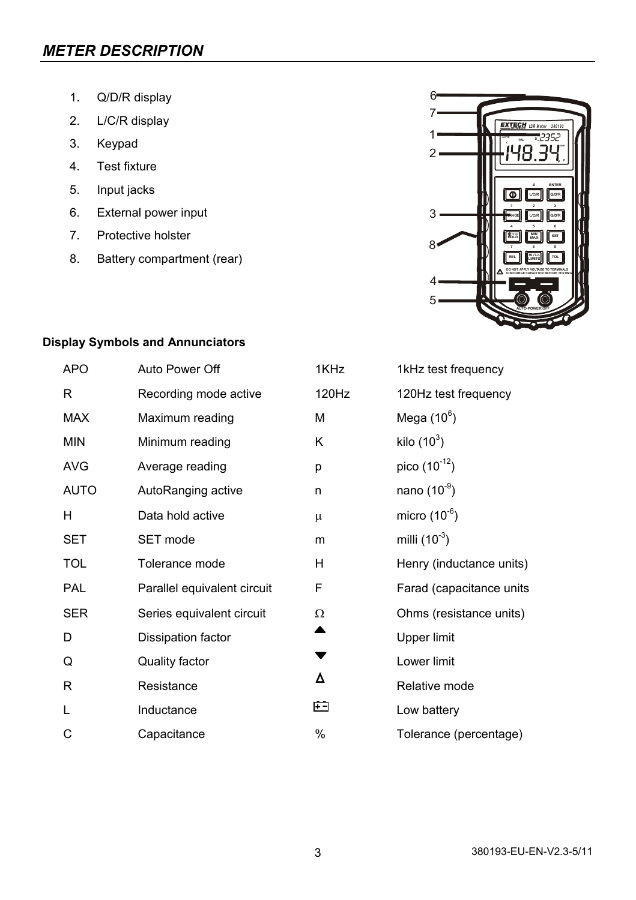# *METER DESCRIPTION*

- 1. Q/D/R display
- 2. L/C/R display
- 3. Keypad
- 4. Test fixture
- 5. Input jacks
- 6. External power input
- 7. Protective holster
- 8. Battery compartment (rear)



# **Display Symbols and Annunciators**

| <b>APO</b>  | Auto Power Off              | 1KHz  | 1kHz test frequency      |
|-------------|-----------------------------|-------|--------------------------|
| R           | Recording mode active       | 120Hz | 120Hz test frequency     |
| MAX         | Maximum reading             | М     | Mega $(10^6)$            |
| <b>MIN</b>  | Minimum reading             | Κ     | kilo $(10^3)$            |
| <b>AVG</b>  | Average reading             | р     | pico $(10^{-12})$        |
| <b>AUTO</b> | AutoRanging active          | n     | nano $(10^{-9})$         |
| H           | Data hold active            | μ     | micro $(10^{-6})$        |
| SET         | SET mode                    | m     | milli $(10^{-3})$        |
| <b>TOL</b>  | Tolerance mode              | H     | Henry (inductance units) |
| PAL         | Parallel equivalent circuit | F     | Farad (capacitance units |
| <b>SER</b>  | Series equivalent circuit   | Ω     | Ohms (resistance units)  |
| D           | Dissipation factor          |       | Upper limit              |
| Q           | Quality factor              |       | Lower limit              |
| R           | Resistance                  | Δ     | Relative mode            |
| L           | Inductance                  | 臼     | Low battery              |
| C           | Capacitance                 | %     | Tolerance (percentage)   |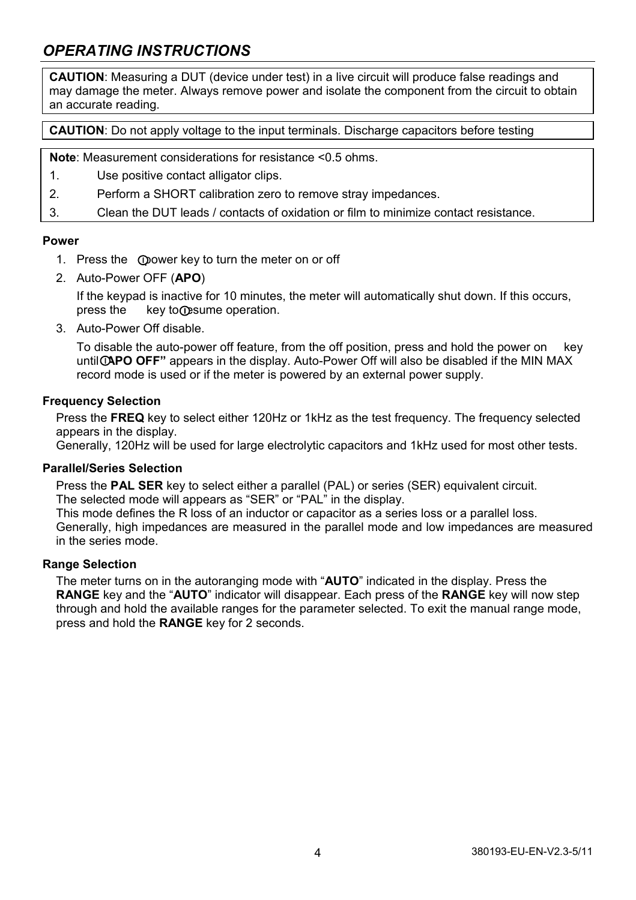# *OPERATING INSTRUCTIONS*

**CAUTION**: Measuring a DUT (device under test) in a live circuit will produce false readings and may damage the meter. Always remove power and isolate the component from the circuit to obtain an accurate reading.

**CAUTION**: Do not apply voltage to the input terminals. Discharge capacitors before testing

**Note**: Measurement considerations for resistance <0.5 ohms.

- 1. Use positive contact alligator clips.
- 2. Perform a SHORT calibration zero to remove stray impedances.
- 3. Clean the DUT leads / contacts of oxidation or film to minimize contact resistance.

#### **Power**

- 1. Press the Opower key to turn the meter on or off
- 2. Auto-Power OFF (**APO**)

If the keypad is inactive for 10 minutes, the meter will automatically shut down. If this occurs, press the key to O sume operation.

3. Auto-Power Off disable.

To disable the auto-power off feature, from the off position, press and hold the power on key until *APO OFF*" appears in the display. Auto-Power Off will also be disabled if the MIN MAX record mode is used or if the meter is powered by an external power supply.

### **Frequency Selection**

Press the **FREQ** key to select either 120Hz or 1kHz as the test frequency. The frequency selected appears in the display.

Generally, 120Hz will be used for large electrolytic capacitors and 1kHz used for most other tests.

#### **Parallel/Series Selection**

Press the **PAL SER** key to select either a parallel (PAL) or series (SER) equivalent circuit. The selected mode will appears as "SER" or "PAL" in the display.

This mode defines the R loss of an inductor or capacitor as a series loss or a parallel loss. Generally, high impedances are measured in the parallel mode and low impedances are measured in the series mode.

#### **Range Selection**

The meter turns on in the autoranging mode with "**AUTO**" indicated in the display. Press the **RANGE** key and the "**AUTO**" indicator will disappear. Each press of the **RANGE** key will now step through and hold the available ranges for the parameter selected. To exit the manual range mode, press and hold the **RANGE** key for 2 seconds.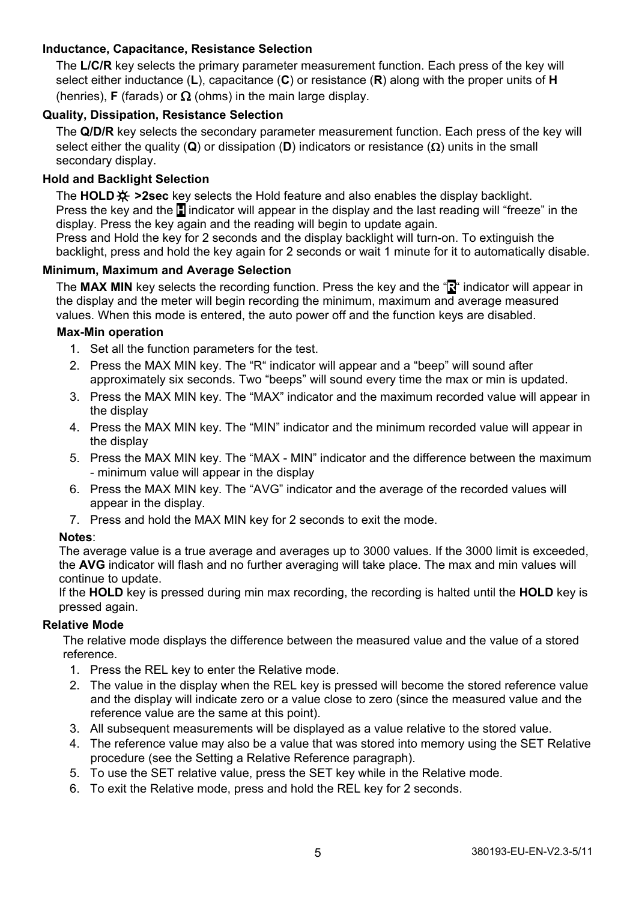# **Inductance, Capacitance, Resistance Selection**

The **L/C/R** key selects the primary parameter measurement function. Each press of the key will select either inductance (**L**), capacitance (**C**) or resistance (**R**) along with the proper units of **H** (henries), **F** (farads) or  $\Omega$  (ohms) in the main large display.

# **Quality, Dissipation, Resistance Selection**

The **Q/D/R** key selects the secondary parameter measurement function. Each press of the key will select either the quality (**Q**) or dissipation (**D**) indicators or resistance (Ω) units in the small secondary display.

### **Hold and Backlight Selection**

The **HOLD >2sec** key selects the Hold feature and also enables the display backlight. Press the key and the **H** indicator will appear in the display and the last reading will "freeze" in the display. Press the key again and the reading will begin to update again.

Press and Hold the key for 2 seconds and the display backlight will turn-on. To extinguish the backlight, press and hold the key again for 2 seconds or wait 1 minute for it to automatically disable.

#### **Minimum, Maximum and Average Selection**

The **MAX MIN** key selects the recording function. Press the key and the "**R**" indicator will appear in the display and the meter will begin recording the minimum, maximum and average measured values. When this mode is entered, the auto power off and the function keys are disabled.

#### **Max-Min operation**

- 1. Set all the function parameters for the test.
- 2. Press the MAX MIN key. The "R" indicator will appear and a "beep" will sound after approximately six seconds. Two "beeps" will sound every time the max or min is updated.
- 3. Press the MAX MIN key. The "MAX" indicator and the maximum recorded value will appear in the display
- 4. Press the MAX MIN key. The "MIN" indicator and the minimum recorded value will appear in the display
- 5. Press the MAX MIN key. The "MAX MIN" indicator and the difference between the maximum - minimum value will appear in the display
- 6. Press the MAX MIN key. The "AVG" indicator and the average of the recorded values will appear in the display.
- 7. Press and hold the MAX MIN key for 2 seconds to exit the mode.

#### **Notes**:

The average value is a true average and averages up to 3000 values. If the 3000 limit is exceeded, the **AVG** indicator will flash and no further averaging will take place. The max and min values will continue to update.

If the **HOLD** key is pressed during min max recording, the recording is halted until the **HOLD** key is pressed again.

#### **Relative Mode**

The relative mode displays the difference between the measured value and the value of a stored reference.

- 1. Press the REL key to enter the Relative mode.
- 2. The value in the display when the REL key is pressed will become the stored reference value and the display will indicate zero or a value close to zero (since the measured value and the reference value are the same at this point).
- 3. All subsequent measurements will be displayed as a value relative to the stored value.
- 4. The reference value may also be a value that was stored into memory using the SET Relative procedure (see the Setting a Relative Reference paragraph).
- 5. To use the SET relative value, press the SET key while in the Relative mode.
- 6. To exit the Relative mode, press and hold the REL key for 2 seconds.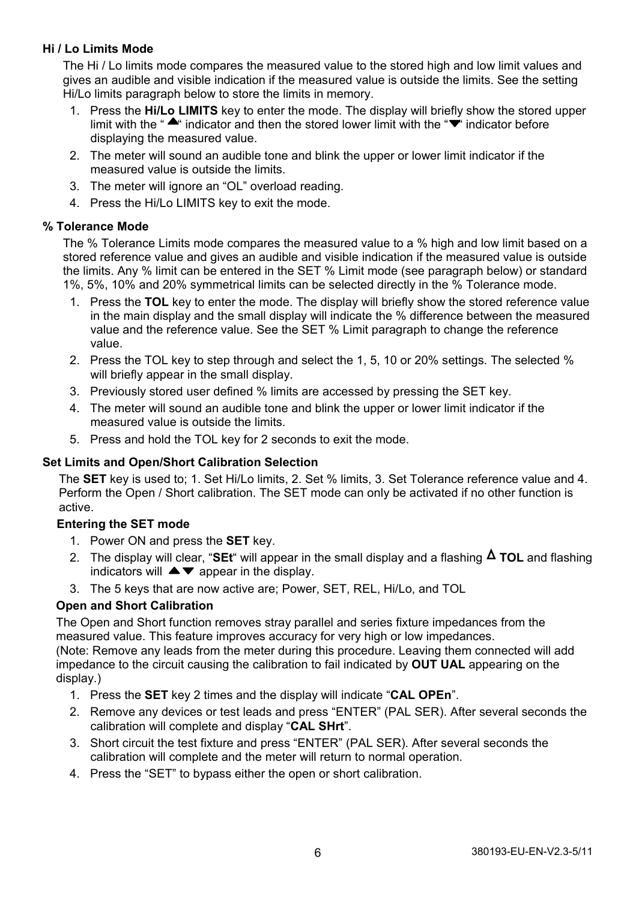# **Hi / Lo Limits Mode**

The Hi / Lo limits mode compares the measured value to the stored high and low limit values and gives an audible and visible indication if the measured value is outside the limits. See the setting Hi/Lo limits paragraph below to store the limits in memory.

- 1. Press the **Hi/Lo LIMITS** key to enter the mode. The display will briefly show the stored upper limit with the " $\blacktriangle$ " indicator and then the stored lower limit with the " $\blacktriangledown$ " indicator before displaying the measured value.
- 2. The meter will sound an audible tone and blink the upper or lower limit indicator if the measured value is outside the limits.
- 3. The meter will ignore an "OL" overload reading.
- 4. Press the Hi/Lo LIMITS key to exit the mode.

### **% Tolerance Mode**

The % Tolerance Limits mode compares the measured value to a % high and low limit based on a stored reference value and gives an audible and visible indication if the measured value is outside the limits. Any % limit can be entered in the SET % Limit mode (see paragraph below) or standard 1%, 5%, 10% and 20% symmetrical limits can be selected directly in the % Tolerance mode.

- 1. Press the **TOL** key to enter the mode. The display will briefly show the stored reference value in the main display and the small display will indicate the % difference between the measured value and the reference value. See the SET % Limit paragraph to change the reference value.
- 2. Press the TOL key to step through and select the 1, 5, 10 or 20% settings. The selected % will briefly appear in the small display.
- 3. Previously stored user defined % limits are accessed by pressing the SET key.
- 4. The meter will sound an audible tone and blink the upper or lower limit indicator if the measured value is outside the limits.
- 5. Press and hold the TOL key for 2 seconds to exit the mode.

# **Set Limits and Open/Short Calibration Selection**

The **SET** key is used to; 1. Set Hi/Lo limits, 2. Set % limits, 3. Set Tolerance reference value and 4. Perform the Open / Short calibration. The SET mode can only be activated if no other function is active.

# **Entering the SET mode**

- 1. Power ON and press the **SET** key.
- 2. The display will clear, "SEt" will appear in the small display and a flashing  $\Delta$  TOL and flashing indicators will  $\blacktriangle \blacktriangledown$  appear in the display.
- 3. The 5 keys that are now active are; Power, SET, REL, Hi/Lo, and TOL

# **Open and Short Calibration**

The Open and Short function removes stray parallel and series fixture impedances from the measured value. This feature improves accuracy for very high or low impedances.

(Note: Remove any leads from the meter during this procedure. Leaving them connected will add impedance to the circuit causing the calibration to fail indicated by **OUT UAL** appearing on the display.)

- 1. Press the **SET** key 2 times and the display will indicate "**CAL OPEn**".
- 2. Remove any devices or test leads and press "ENTER" (PAL SER). After several seconds the calibration will complete and display "**CAL SHrt**".
- 3. Short circuit the test fixture and press "ENTER" (PAL SER). After several seconds the calibration will complete and the meter will return to normal operation.
- 4. Press the "SET" to bypass either the open or short calibration.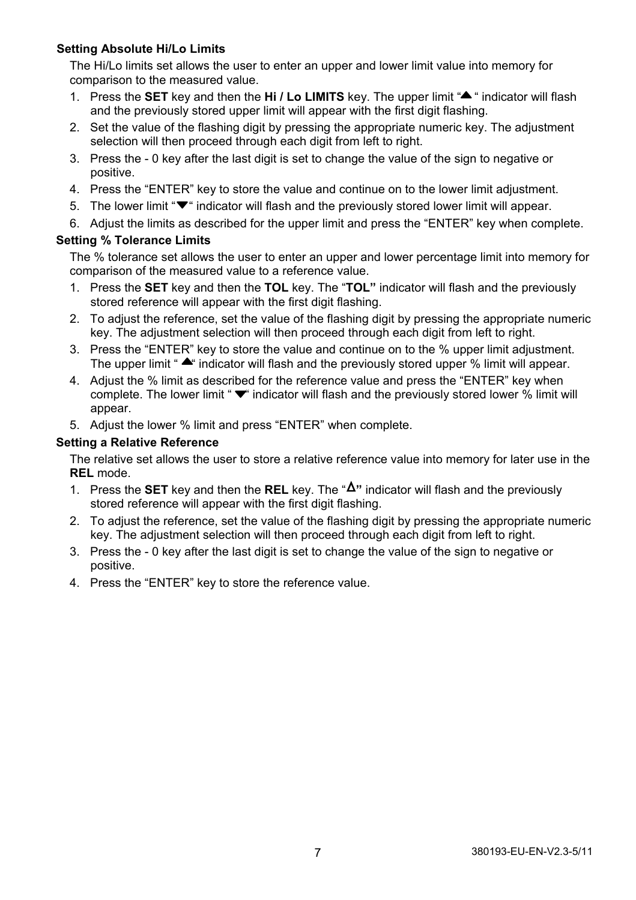# **Setting Absolute Hi/Lo Limits**

The Hi/Lo limits set allows the user to enter an upper and lower limit value into memory for comparison to the measured value.

- 1. Press the **SET** key and then the **Hi** / Lo LIMITS key. The upper limit "A " indicator will flash and the previously stored upper limit will appear with the first digit flashing.
- 2. Set the value of the flashing digit by pressing the appropriate numeric key. The adjustment selection will then proceed through each digit from left to right.
- 3. Press the 0 key after the last digit is set to change the value of the sign to negative or positive.
- 4. Press the "ENTER" key to store the value and continue on to the lower limit adjustment.
- 5. The lower limit  $\Psi^*$  indicator will flash and the previously stored lower limit will appear.
- 6. Adjust the limits as described for the upper limit and press the "ENTER" key when complete.

### **Setting % Tolerance Limits**

The % tolerance set allows the user to enter an upper and lower percentage limit into memory for comparison of the measured value to a reference value.

- 1. Press the **SET** key and then the **TOL** key. The "**TOL"** indicator will flash and the previously stored reference will appear with the first digit flashing.
- 2. To adjust the reference, set the value of the flashing digit by pressing the appropriate numeric key. The adjustment selection will then proceed through each digit from left to right.
- 3. Press the "ENTER" key to store the value and continue on to the % upper limit adjustment. The upper limit " $\triangle$ " indicator will flash and the previously stored upper % limit will appear.
- 4. Adjust the % limit as described for the reference value and press the "ENTER" key when complete. The lower limit " $\blacktriangledown$ " indicator will flash and the previously stored lower % limit will appear.
- 5. Adjust the lower % limit and press "ENTER" when complete.

### **Setting a Relative Reference**

The relative set allows the user to store a relative reference value into memory for later use in the **REL** mode.

- 1. Press the **SET** key and then the **REL** key. The " **"** indicator will flash and the previously stored reference will appear with the first digit flashing.
- 2. To adjust the reference, set the value of the flashing digit by pressing the appropriate numeric key. The adjustment selection will then proceed through each digit from left to right.
- 3. Press the 0 key after the last digit is set to change the value of the sign to negative or positive.
- 4. Press the "ENTER" key to store the reference value.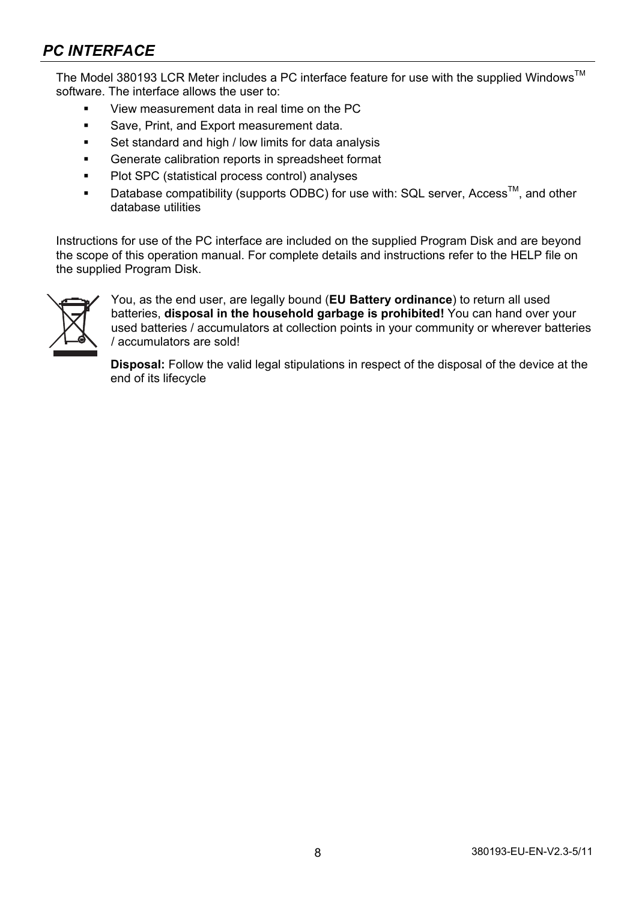# *PC INTERFACE*

The Model 380193 LCR Meter includes a PC interface feature for use with the supplied Windows<sup>™</sup> software. The interface allows the user to:

- View measurement data in real time on the PC
- Save, Print, and Export measurement data.
- Set standard and high / low limits for data analysis
- Generate calibration reports in spreadsheet format
- **Plot SPC (statistical process control) analyses**
- **Database compatibility (supports ODBC) for use with: SQL server, Access**<sup>TM</sup>, and other database utilities

Instructions for use of the PC interface are included on the supplied Program Disk and are beyond the scope of this operation manual. For complete details and instructions refer to the HELP file on the supplied Program Disk.



You, as the end user, are legally bound (**EU Battery ordinance**) to return all used batteries, **disposal in the household garbage is prohibited!** You can hand over your used batteries / accumulators at collection points in your community or wherever batteries / accumulators are sold!

**Disposal:** Follow the valid legal stipulations in respect of the disposal of the device at the end of its lifecycle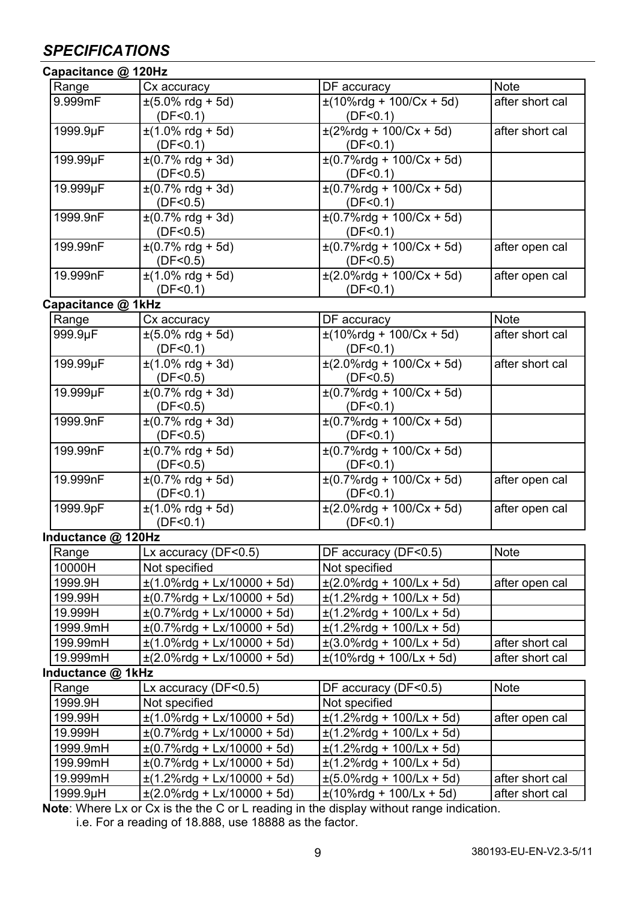# *SPECIFICATIONS*

| Capacitance @ 120Hz |
|---------------------|
|---------------------|

| Capacitance @ 120Hz |                                                         |                                                                    |                 |  |
|---------------------|---------------------------------------------------------|--------------------------------------------------------------------|-----------------|--|
| Range               | Cx accuracy                                             | DF accuracy                                                        | <b>Note</b>     |  |
| 9.999mF             | $\pm(5.0\% \text{ rdg} + 5d)$                           | $\pm(10\% \text{rdg} + 100/\text{Cx} + 5\text{d})$                 | after short cal |  |
|                     | (DF < 0.1)                                              | (DF < 0.1)                                                         |                 |  |
| 1999.9µF            | $\pm(1.0\% \text{ rdg} + 5d)$                           | $\pm(2\%$ rdg + 100/Cx + 5d)                                       | after short cal |  |
|                     | (DF < 0.1)                                              | (DF < 0.1)                                                         |                 |  |
| 199.99µF            | $\pm (0.7\% \text{ rdg} + 3d)$                          | $\pm (0.7\% \text{rdg} + 100\% \text{Cx} + 5\text{d})$             |                 |  |
|                     | (DF < 0.5)                                              | (DF < 0.1)                                                         |                 |  |
| 19.999µF            | $\pm (0.7\% \text{ rdg} + 3d)$                          | $\pm (0.7\% \text{rdg} + 100\% \text{Cx} + 5\text{d})$             |                 |  |
|                     | (DF < 0.5)                                              | (DF < 0.1)                                                         |                 |  |
| 1999.9nF            | $\pm$ (0.7% rdg + 3d)                                   | $\pm (0.7\% \text{rdg} + 100\% \text{Cx} + 5\text{d})$             |                 |  |
|                     | (DF < 0.5)                                              | (DF < 0.1)                                                         |                 |  |
| 199.99nF            | $\pm (0.7\% \text{ rdg} + 5d)$                          | $\pm (0.7\% \text{rdg} + 100\% \text{Cx} + 5\text{d})$             | after open cal  |  |
| 19.999nF            | (DF < 0.5)<br>$\pm(1.0\% \text{ rdg} + 5d)$             | (DF < 0.5)<br>$\pm (2.0\% \text{rdg} + 100/\text{Cx} + 5\text{d})$ |                 |  |
|                     | (DF < 0.1)                                              | (DF < 0.1)                                                         | after open cal  |  |
| Capacitance @ 1kHz  |                                                         |                                                                    |                 |  |
| Range               | Cx accuracy                                             | DF accuracy                                                        | Note            |  |
| 999.9µF             | $\pm (5.0\% \text{ rdg} + 5d)$                          | $\pm(10\%$ rdg + 100/Cx + 5d)                                      | after short cal |  |
|                     | (DF < 0.1)                                              | (DF < 0.1)                                                         |                 |  |
| 199.99µF            | $\pm(1.0\% \text{ rdg} + 3d)$                           | $\pm (2.0\%$ rdg + 100/Cx + 5d)                                    | after short cal |  |
|                     | (DF < 0.5)                                              | (DF < 0.5)                                                         |                 |  |
| 19.999µF            | $\pm (0.7\% \text{ rdg} + 3d)$                          | $\pm (0.7\% \text{rdg} + 100/\text{Cx} + 5\text{d})$               |                 |  |
|                     | (DF < 0.5)                                              | (DF < 0.1)                                                         |                 |  |
| 1999.9nF            | $\pm (0.7\% \text{ rdg} + 3d)$                          | $\pm (0.7\% \text{rda} + 100\% \text{Cx} + 5\text{d})$             |                 |  |
|                     | (DF < 0.5)                                              | (DF < 0.1)                                                         |                 |  |
| 199.99nF            | $\pm (0.7\% \text{ rdg} + 5d)$                          | $\pm (0.7\% \text{rdg} + 100\% \text{Cx} + 5\text{d})$             |                 |  |
|                     | (DF < 0.5)                                              | (DF < 0.1)                                                         |                 |  |
| 19.999nF            | $\pm (0.7\% \text{ rdg} + 5d)$                          | $\pm (0.7\% \text{rdg} + 100\% \text{Cx} + 5\text{d})$             | after open cal  |  |
|                     | (DF < 0.1)                                              | (DF < 0.1)                                                         |                 |  |
| 1999.9pF            | $\pm(1.0\% \text{ rdg} + 5d)$                           | $\pm (2.0\% \text{rdg} + 100/\text{Cx} + 5\text{d})$               | after open cal  |  |
|                     | (DF < 0.1)                                              | (DF < 0.1)                                                         |                 |  |
| Inductance @ 120Hz  |                                                         |                                                                    |                 |  |
| Range               | Lx accuracy (DF<0.5)                                    | DF accuracy (DF<0.5)                                               | Note            |  |
| 10000H              | Not specified                                           | Not specified                                                      |                 |  |
| 1999.9H             | $\pm$ (1.0%rdg + Lx/10000 + 5d)                         | $\pm$ (2.0%rdg + 100/Lx + 5d)                                      | after open cal  |  |
| 199.99H             | $\pm (0.7\% \text{rdg} + \text{Lx}/10000 + 5 \text{d})$ | $\pm$ (1.2%rdg + 100/Lx + 5d)                                      |                 |  |
| 19.999H             | $\pm (0.7\%$ rdg + Lx/10000 + 5d)                       | $\pm$ (1.2%rdg + 100/Lx + 5d)                                      |                 |  |
| 1999.9mH            | $\pm (0.7\%$ rdg + Lx/10000 + 5d)                       | $\pm(1.2\%$ rdg + 100/Lx + 5d)                                     |                 |  |
| 199.99mH            | $\pm$ (1.0%rdg + Lx/10000 + 5d)                         | $\pm$ (3.0%rdg + 100/Lx + 5d)                                      | after short cal |  |
| 19.999mH            | $\pm$ (2.0%rdg + Lx/10000 + 5d)                         | $\pm$ (10%rdg + 100/Lx + 5d)                                       | after short cal |  |
| Inductance @ 1kHz   |                                                         |                                                                    |                 |  |
| Range               | Lx accuracy (DF<0.5)                                    | DF accuracy (DF<0.5)                                               | Note            |  |
| 1999.9H             | Not specified                                           | Not specified                                                      |                 |  |
| 199.99H             | $\pm$ (1.0%rdg + Lx/10000 + 5d)                         | $\pm$ (1.2%rdg + 100/Lx + 5d)                                      | after open cal  |  |
| 19.999H             | $\pm (0.7\%$ rdg + Lx/10000 + 5d)                       | $\pm$ (1.2%rdg + 100/Lx + 5d)                                      |                 |  |
| 1999.9mH            | $\pm (0.7\%$ rdg + Lx/10000 + 5d)                       | $\pm$ (1.2%rdg + 100/Lx + 5d)                                      |                 |  |
| 199.99mH            | $\pm (0.7\%$ rdg + Lx/10000 + 5d)                       | $\pm$ (1.2%rdg + 100/Lx + 5d)                                      |                 |  |
| 19.999mH            | $\pm$ (1.2%rdg + Lx/10000 + 5d)                         | $\pm(5.0\%$ rdg + 100/Lx + 5d)                                     | after short cal |  |
| 1999.9µH            | $\pm$ (2.0%rdg + Lx/10000 + 5d)                         | $\pm(10\% \text{rdg} + 100/\text{Lx} + 5\text{d})$                 | after short cal |  |

**Note**: Where Lx or Cx is the the C or L reading in the display without range indication. i.e. For a reading of 18.888, use 18888 as the factor.